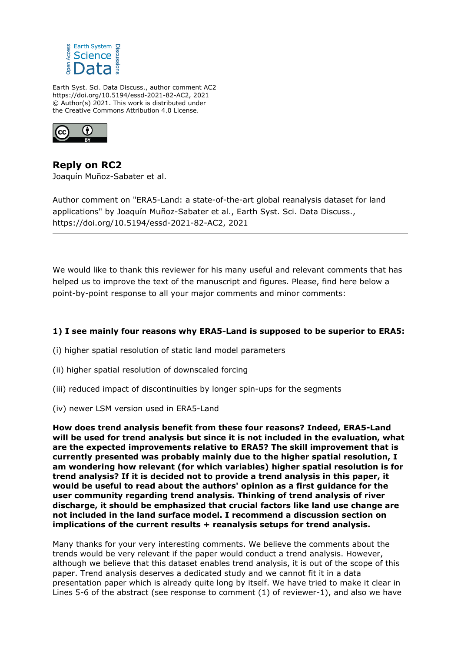

Earth Syst. Sci. Data Discuss., author comment AC2 https://doi.org/10.5194/essd-2021-82-AC2, 2021 © Author(s) 2021. This work is distributed under the Creative Commons Attribution 4.0 License.



**Reply on RC2** Joaquín Muñoz-Sabater et al.

Author comment on "ERA5-Land: a state-of-the-art global reanalysis dataset for land applications" by Joaquín Muñoz-Sabater et al., Earth Syst. Sci. Data Discuss., https://doi.org/10.5194/essd-2021-82-AC2, 2021

We would like to thank this reviewer for his many useful and relevant comments that has helped us to improve the text of the manuscript and figures. Please, find here below a point-by-point response to all your major comments and minor comments:

# **1) I see mainly four reasons why ERA5-Land is supposed to be superior to ERA5:**

- (i) higher spatial resolution of static land model parameters
- (ii) higher spatial resolution of downscaled forcing
- (iii) reduced impact of discontinuities by longer spin-ups for the segments
- (iv) newer LSM version used in ERA5-Land

**How does trend analysis benefit from these four reasons? Indeed, ERA5-Land will be used for trend analysis but since it is not included in the evaluation, what are the expected improvements relative to ERA5? The skill improvement that is currently presented was probably mainly due to the higher spatial resolution, I am wondering how relevant (for which variables) higher spatial resolution is for trend analysis? If it is decided not to provide a trend analysis in this paper, it would be useful to read about the authors' opinion as a first guidance for the user community regarding trend analysis. Thinking of trend analysis of river discharge, it should be emphasized that crucial factors like land use change are not included in the land surface model. I recommend a discussion section on implications of the current results + reanalysis setups for trend analysis.**

Many thanks for your very interesting comments. We believe the comments about the trends would be very relevant if the paper would conduct a trend analysis. However, although we believe that this dataset enables trend analysis, it is out of the scope of this paper. Trend analysis deserves a dedicated study and we cannot fit it in a data presentation paper which is already quite long by itself. We have tried to make it clear in Lines 5-6 of the abstract (see response to comment (1) of reviewer-1), and also we have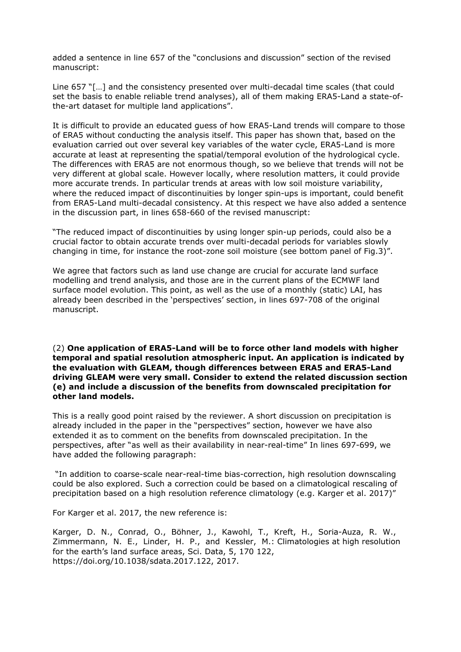added a sentence in line 657 of the "conclusions and discussion" section of the revised manuscript:

Line 657 "[…] and the consistency presented over multi-decadal time scales (that could set the basis to enable reliable trend analyses), all of them making ERA5-Land a state-ofthe-art dataset for multiple land applications".

It is difficult to provide an educated guess of how ERA5-Land trends will compare to those of ERA5 without conducting the analysis itself. This paper has shown that, based on the evaluation carried out over several key variables of the water cycle, ERA5-Land is more accurate at least at representing the spatial/temporal evolution of the hydrological cycle. The differences with ERA5 are not enormous though, so we believe that trends will not be very different at global scale. However locally, where resolution matters, it could provide more accurate trends. In particular trends at areas with low soil moisture variability, where the reduced impact of discontinuities by longer spin-ups is important, could benefit from ERA5-Land multi-decadal consistency. At this respect we have also added a sentence in the discussion part, in lines 658-660 of the revised manuscript:

"The reduced impact of discontinuities by using longer spin-up periods, could also be a crucial factor to obtain accurate trends over multi-decadal periods for variables slowly changing in time, for instance the root-zone soil moisture (see bottom panel of Fig.3)".

We agree that factors such as land use change are crucial for accurate land surface modelling and trend analysis, and those are in the current plans of the ECMWF land surface model evolution. This point, as well as the use of a monthly (static) LAI, has already been described in the 'perspectives' section, in lines 697-708 of the original manuscript.

(2) **One application of ERA5-Land will be to force other land models with higher temporal and spatial resolution atmospheric input. An application is indicated by the evaluation with GLEAM, though differences between ERA5 and ERA5-Land driving GLEAM were very small. Consider to extend the related discussion section (e) and include a discussion of the benefits from downscaled precipitation for other land models.**

This is a really good point raised by the reviewer. A short discussion on precipitation is already included in the paper in the "perspectives" section, however we have also extended it as to comment on the benefits from downscaled precipitation. In the perspectives, after "as well as their availability in near-real-time" In lines 697-699, we have added the following paragraph:

 "In addition to coarse-scale near-real-time bias-correction, high resolution downscaling could be also explored. Such a correction could be based on a climatological rescaling of precipitation based on a high resolution reference climatology (e.g. Karger et al. 2017)"

For Karger et al. 2017, the new reference is:

Karger, D. N., Conrad, O., Böhner, J., Kawohl, T., Kreft, H., Soria-Auza, R. W., Zimmermann, N. E., Linder, H. P., and Kessler, M.: Climatologies at high resolution for the earth's land surface areas, Sci. Data, 5, 170 122, https://doi.org/10.1038/sdata.2017.122, 2017.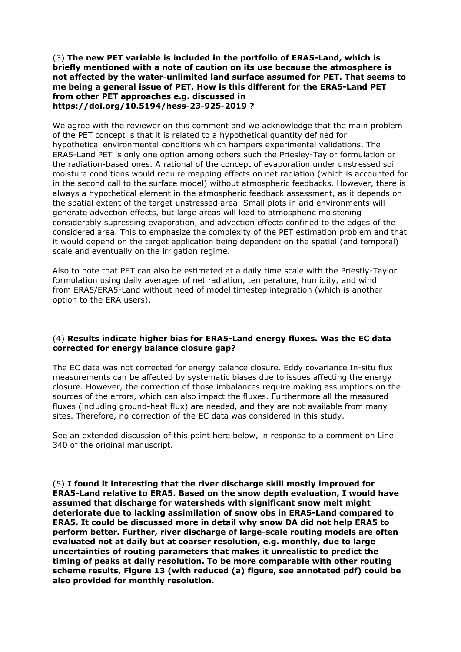## (3) **The new PET variable is included in the portfolio of ERA5-Land, which is briefly mentioned with a note of caution on its use because the atmosphere is not affected by the water-unlimited land surface assumed for PET. That seems to me being a general issue of PET. How is this different for the ERA5-Land PET from other PET approaches e.g. discussed in https://doi.org/10.5194/hess-23-925-2019 ?**

We agree with the reviewer on this comment and we acknowledge that the main problem of the PET concept is that it is related to a hypothetical quantity defined for hypothetical environmental conditions which hampers experimental validations. The ERA5-Land PET is only one option among others such the Priesley-Taylor formulation or the radiation-based ones. A rational of the concept of evaporation under unstressed soil moisture conditions would require mapping effects on net radiation (which is accounted for in the second call to the surface model) without atmospheric feedbacks. However, there is always a hypothetical element in the atmospheric feedback assessment, as it depends on the spatial extent of the target unstressed area. Small plots in arid environments will generate advection effects, but large areas will lead to atmospheric moistening considerably supressing evaporation, and advection effects confined to the edges of the considered area. This to emphasize the complexity of the PET estimation problem and that it would depend on the target application being dependent on the spatial (and temporal) scale and eventually on the irrigation regime.

Also to note that PET can also be estimated at a daily time scale with the Priestly-Taylor formulation using daily averages of net radiation, temperature, humidity, and wind from ERA5/ERA5-Land without need of model timestep integration (which is another option to the ERA users).

# (4) **Results indicate higher bias for ERA5-Land energy fluxes. Was the EC data corrected for energy balance closure gap?**

The EC data was not corrected for energy balance closure. Eddy covariance In-situ flux measurements can be affected by systematic biases due to issues affecting the energy closure. However, the correction of those imbalances require making assumptions on the sources of the errors, which can also impact the fluxes. Furthermore all the measured fluxes (including ground-heat flux) are needed, and they are not available from many sites. Therefore, no correction of the EC data was considered in this study.

See an extended discussion of this point here below, in response to a comment on Line 340 of the original manuscript.

(5) **I found it interesting that the river discharge skill mostly improved for ERA5-Land relative to ERA5. Based on the snow depth evaluation, I would have assumed that discharge for watersheds with significant snow melt might deteriorate due to lacking assimilation of snow obs in ERA5-Land compared to ERA5. It could be discussed more in detail why snow DA did not help ERA5 to perform better. Further, river discharge of large-scale routing models are often evaluated not at daily but at coarser resolution, e.g. monthly, due to large uncertainties of routing parameters that makes it unrealistic to predict the timing of peaks at daily resolution. To be more comparable with other routing scheme results, Figure 13 (with reduced (a) figure, see annotated pdf) could be also provided for monthly resolution.**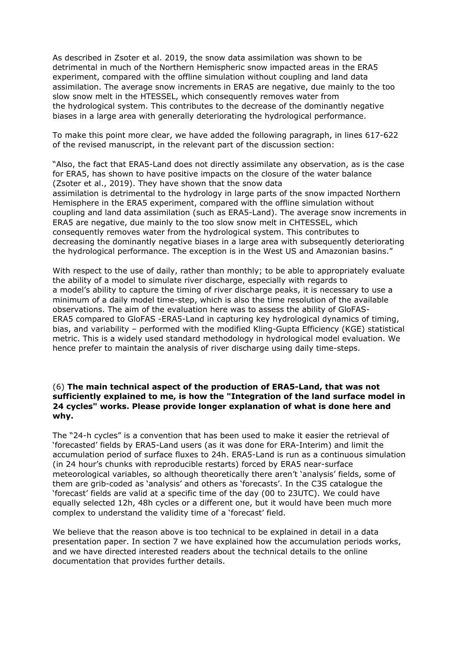As described in Zsoter et al. 2019, the snow data assimilation was shown to be detrimental in much of the Northern Hemispheric snow impacted areas in the ERA5 experiment, compared with the offline simulation without coupling and land data assimilation. The average snow increments in ERA5 are negative, due mainly to the too slow snow melt in the HTESSEL, which consequently removes water from the hydrological system. This contributes to the decrease of the dominantly negative biases in a large area with generally deteriorating the hydrological performance.

To make this point more clear, we have added the following paragraph, in lines 617-622 of the revised manuscript, in the relevant part of the discussion section:

"Also, the fact that ERA5-Land does not directly assimilate any observation, as is the case for ERA5, has shown to have positive impacts on the closure of the water balance (Zsoter et al., 2019). They have shown that the snow data assimilation is detrimental to the hydrology in large parts of the snow impacted Northern Hemisphere in the ERA5 experiment, compared with the offline simulation without coupling and land data assimilation (such as ERA5-Land). The average snow increments in ERA5 are negative, due mainly to the too slow snow melt in CHTESSEL, which consequently removes water from the hydrological system. This contributes to decreasing the dominantly negative biases in a large area with subsequently deteriorating the hydrological performance. The exception is in the West US and Amazonian basins."

With respect to the use of daily, rather than monthly; to be able to appropriately evaluate the ability of a model to simulate river discharge, especially with regards to a model's ability to capture the timing of river discharge peaks, it is necessary to use a minimum of a daily model time-step, which is also the time resolution of the available observations. The aim of the evaluation here was to assess the ability of GloFAS-ERA5 compared to GloFAS -ERA5-Land in capturing key hydrological dynamics of timing, bias, and variability – performed with the modified Kling-Gupta Efficiency (KGE) statistical metric. This is a widely used standard methodology in hydrological model evaluation. We hence prefer to maintain the analysis of river discharge using daily time-steps.

## (6) **The main technical aspect of the production of ERA5-Land, that was not sufficiently explained to me, is how the "Integration of the land surface model in 24 cycles" works. Please provide longer explanation of what is done here and why.**

The "24-h cycles" is a convention that has been used to make it easier the retrieval of 'forecasted' fields by ERA5-Land users (as it was done for ERA-Interim) and limit the accumulation period of surface fluxes to 24h. ERA5-Land is run as a continuous simulation (in 24 hour's chunks with reproducible restarts) forced by ERA5 near-surface meteorological variables, so although theoretically there aren't 'analysis' fields, some of them are grib-coded as 'analysis' and others as 'forecasts'. In the C3S catalogue the 'forecast' fields are valid at a specific time of the day (00 to 23UTC). We could have equally selected 12h, 48h cycles or a different one, but it would have been much more complex to understand the validity time of a 'forecast' field.

We believe that the reason above is too technical to be explained in detail in a data presentation paper. In section 7 we have explained how the accumulation periods works, and we have directed interested readers about the technical details to the online documentation that provides further details.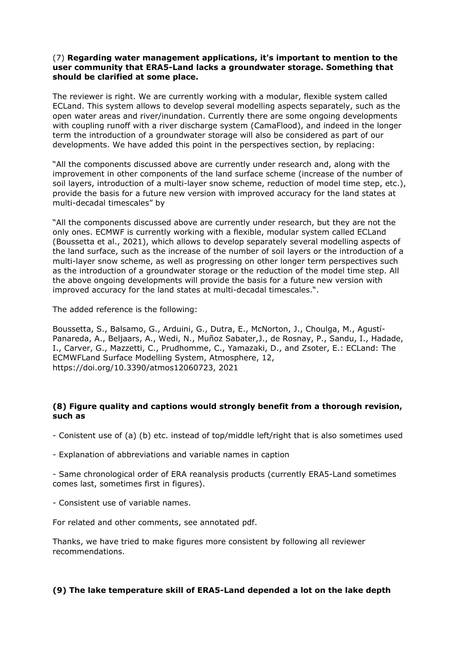# (7) **Regarding water management applications, it's important to mention to the user community that ERA5-Land lacks a groundwater storage. Something that should be clarified at some place.**

The reviewer is right. We are currently working with a modular, flexible system called ECLand. This system allows to develop several modelling aspects separately, such as the open water areas and river/inundation. Currently there are some ongoing developments with coupling runoff with a river discharge system (CamaFlood), and indeed in the longer term the introduction of a groundwater storage will also be considered as part of our developments. We have added this point in the perspectives section, by replacing:

"All the components discussed above are currently under research and, along with the improvement in other components of the land surface scheme (increase of the number of soil layers, introduction of a multi-layer snow scheme, reduction of model time step, etc.), provide the basis for a future new version with improved accuracy for the land states at multi-decadal timescales" by

"All the components discussed above are currently under research, but they are not the only ones. ECMWF is currently working with a flexible, modular system called ECLand (Boussetta et al., 2021), which allows to develop separately several modelling aspects of the land surface, such as the increase of the number of soil layers or the introduction of a multi-layer snow scheme, as well as progressing on other longer term perspectives such as the introduction of a groundwater storage or the reduction of the model time step. All the above ongoing developments will provide the basis for a future new version with improved accuracy for the land states at multi-decadal timescales.".

The added reference is the following:

Boussetta, S., Balsamo, G., Arduini, G., Dutra, E., McNorton, J., Choulga, M., Agustí-Panareda, A., Beljaars, A., Wedi, N., Muñoz Sabater,J., de Rosnay, P., Sandu, I., Hadade, I., Carver, G., Mazzetti, C., Prudhomme, C., Yamazaki, D., and Zsoter, E.: ECLand: The ECMWFLand Surface Modelling System, Atmosphere, 12, https://doi.org/10.3390/atmos12060723, 2021

# **(8) Figure quality and captions would strongly benefit from a thorough revision, such as**

- Conistent use of (a) (b) etc. instead of top/middle left/right that is also sometimes used

- Explanation of abbreviations and variable names in caption

- Same chronological order of ERA reanalysis products (currently ERA5-Land sometimes comes last, sometimes first in figures).

- Consistent use of variable names.

For related and other comments, see annotated pdf.

Thanks, we have tried to make figures more consistent by following all reviewer recommendations.

# **(9) The lake temperature skill of ERA5-Land depended a lot on the lake depth**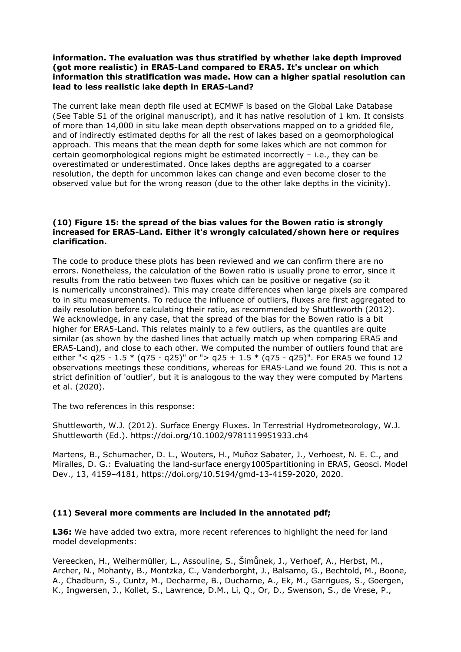## **information. The evaluation was thus stratified by whether lake depth improved (got more realistic) in ERA5-Land compared to ERA5. It's unclear on which information this stratification was made. How can a higher spatial resolution can lead to less realistic lake depth in ERA5-Land?**

The current lake mean depth file used at ECMWF is based on the Global Lake Database (See Table S1 of the original manuscript), and it has native resolution of 1 km. It consists of more than 14,000 in situ lake mean depth observations mapped on to a gridded file, and of indirectly estimated depths for all the rest of lakes based on a geomorphological approach. This means that the mean depth for some lakes which are not common for certain geomorphological regions might be estimated incorrectly – i.e., they can be overestimated or underestimated. Once lakes depths are aggregated to a coarser resolution, the depth for uncommon lakes can change and even become closer to the observed value but for the wrong reason (due to the other lake depths in the vicinity).

#### **(10) Figure 15: the spread of the bias values for the Bowen ratio is strongly increased for ERA5-Land. Either it's wrongly calculated/shown here or requires clarification.**

The code to produce these plots has been reviewed and we can confirm there are no errors. Nonetheless, the calculation of the Bowen ratio is usually prone to error, since it results from the ratio between two fluxes which can be positive or negative (so it is numerically unconstrained). This may create differences when large pixels are compared to in situ measurements. To reduce the influence of outliers, fluxes are first aggregated to daily resolution before calculating their ratio, as recommended by Shuttleworth (2012). We acknowledge, in any case, that the spread of the bias for the Bowen ratio is a bit higher for ERA5-Land. This relates mainly to a few outliers, as the quantiles are quite similar (as shown by the dashed lines that actually match up when comparing ERA5 and ERA5-Land), and close to each other. We computed the number of outliers found that are either "<  $q25 - 1.5 * (q75 - q25)$ " or ">  $q25 + 1.5 * (q75 - q25)$ ". For ERA5 we found 12 observations meetings these conditions, whereas for ERA5-Land we found 20. This is not a strict definition of 'outlier', but it is analogous to the way they were computed by Martens et al. (2020).

The two references in this response:

Shuttleworth, W.J. (2012). Surface Energy Fluxes. In Terrestrial Hydrometeorology, W.J. Shuttleworth (Ed.). https://doi.org/10.1002/9781119951933.ch4

Martens, B., Schumacher, D. L., Wouters, H., Muñoz Sabater, J., Verhoest, N. E. C., and Miralles, D. G.: Evaluating the land-surface energy1005partitioning in ERA5, Geosci. Model Dev., 13, 4159–4181, https://doi.org/10.5194/gmd-13-4159-2020, 2020.

#### **(11) Several more comments are included in the annotated pdf;**

**L36:** We have added two extra, more recent references to highlight the need for land model developments:

Vereecken, H., Weihermüller, L., Assouline, S., Šimůnek, J., Verhoef, A., Herbst, M., Archer, N., Mohanty, B., Montzka, C., Vanderborght, J., Balsamo, G., Bechtold, M., Boone, A., Chadburn, S., Cuntz, M., Decharme, B., Ducharne, A., Ek, M., Garrigues, S., Goergen, K., Ingwersen, J., Kollet, S., Lawrence, D.M., Li, Q., Or, D., Swenson, S., de Vrese, P.,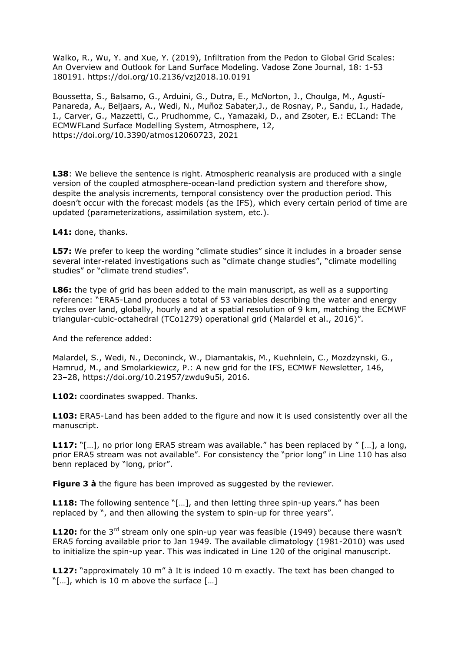Walko, R., Wu, Y. and Xue, Y. (2019), Infiltration from the Pedon to Global Grid Scales: An Overview and Outlook for Land Surface Modeling. Vadose Zone Journal, 18: 1-53 180191. https://doi.org/10.2136/vzj2018.10.0191

Boussetta, S., Balsamo, G., Arduini, G., Dutra, E., McNorton, J., Choulga, M., Agustí-Panareda, A., Beljaars, A., Wedi, N., Muñoz Sabater,J., de Rosnay, P., Sandu, I., Hadade, I., Carver, G., Mazzetti, C., Prudhomme, C., Yamazaki, D., and Zsoter, E.: ECLand: The ECMWFLand Surface Modelling System, Atmosphere, 12, https://doi.org/10.3390/atmos12060723, 2021

**L38**: We believe the sentence is right. Atmospheric reanalysis are produced with a single version of the coupled atmosphere-ocean-land prediction system and therefore show, despite the analysis increments, temporal consistency over the production period. This doesn't occur with the forecast models (as the IFS), which every certain period of time are updated (parameterizations, assimilation system, etc.).

**L41:** done, thanks.

**L57:** We prefer to keep the wording "climate studies" since it includes in a broader sense several inter-related investigations such as "climate change studies", "climate modelling studies" or "climate trend studies".

**L86:** the type of grid has been added to the main manuscript, as well as a supporting reference: "ERA5-Land produces a total of 53 variables describing the water and energy cycles over land, globally, hourly and at a spatial resolution of 9 km, matching the ECMWF triangular-cubic-octahedral (TCo1279) operational grid (Malardel et al., 2016)".

And the reference added:

Malardel, S., Wedi, N., Deconinck, W., Diamantakis, M., Kuehnlein, C., Mozdzynski, G., Hamrud, M., and Smolarkiewicz, P.: A new grid for the IFS, ECMWF Newsletter, 146, 23–28, https://doi.org/10.21957/zwdu9u5i, 2016.

**L102:** coordinates swapped. Thanks.

**L103:** ERA5-Land has been added to the figure and now it is used consistently over all the manuscript.

L117: "[...], no prior long ERA5 stream was available." has been replaced by "[...], a long, prior ERA5 stream was not available". For consistency the "prior long" in Line 110 has also benn replaced by "long, prior".

**Figure 3 à** the figure has been improved as suggested by the reviewer.

**L118:** The following sentence "[…], and then letting three spin-up years." has been replaced by ", and then allowing the system to spin-up for three years".

**L120:** for the 3<sup>rd</sup> stream only one spin-up year was feasible (1949) because there wasn't ERA5 forcing available prior to Jan 1949. The available climatology (1981-2010) was used to initialize the spin-up year. This was indicated in Line 120 of the original manuscript.

**L127:** "approximately 10 m" à It is indeed 10 m exactly. The text has been changed to "[…], which is 10 m above the surface […]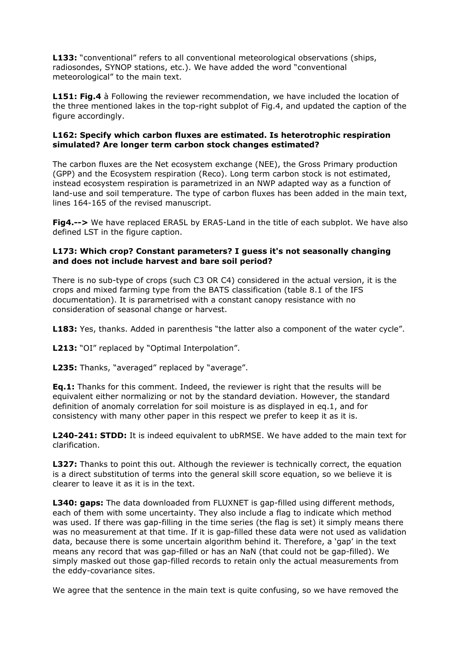**L133:** "conventional" refers to all conventional meteorological observations (ships, radiosondes, SYNOP stations, etc.). We have added the word "conventional meteorological" to the main text.

**L151: Fig.4** à Following the reviewer recommendation, we have included the location of the three mentioned lakes in the top-right subplot of Fig.4, and updated the caption of the figure accordingly.

## **L162: Specify which carbon fluxes are estimated. Is heterotrophic respiration simulated? Are longer term carbon stock changes estimated?**

The carbon fluxes are the Net ecosystem exchange (NEE), the Gross Primary production (GPP) and the Ecosystem respiration (Reco). Long term carbon stock is not estimated, instead ecosystem respiration is parametrized in an NWP adapted way as a function of land-use and soil temperature. The type of carbon fluxes has been added in the main text, lines 164-165 of the revised manuscript.

**Fig4.-->** We have replaced ERA5L by ERA5-Land in the title of each subplot. We have also defined LST in the figure caption.

# **L173: Which crop? Constant parameters? I guess it's not seasonally changing and does not include harvest and bare soil period?**

There is no sub-type of crops (such C3 OR C4) considered in the actual version, it is the crops and mixed farming type from the BATS classification (table 8.1 of the IFS documentation). It is parametrised with a constant canopy resistance with no consideration of seasonal change or harvest.

L183: Yes, thanks. Added in parenthesis "the latter also a component of the water cycle".

L213: "OI" replaced by "Optimal Interpolation".

**L235:** Thanks, "averaged" replaced by "average".

**Eq.1:** Thanks for this comment. Indeed, the reviewer is right that the results will be equivalent either normalizing or not by the standard deviation. However, the standard definition of anomaly correlation for soil moisture is as displayed in eq.1, and for consistency with many other paper in this respect we prefer to keep it as it is.

**L240-241: STDD:** It is indeed equivalent to ubRMSE. We have added to the main text for clarification.

**L327:** Thanks to point this out. Although the reviewer is technically correct, the equation is a direct substitution of terms into the general skill score equation, so we believe it is clearer to leave it as it is in the text.

**L340: gaps:** The data downloaded from FLUXNET is gap-filled using different methods, each of them with some uncertainty. They also include a flag to indicate which method was used. If there was gap-filling in the time series (the flag is set) it simply means there was no measurement at that time. If it is gap-filled these data were not used as validation data, because there is some uncertain algorithm behind it. Therefore, a 'gap' in the text means any record that was gap-filled or has an NaN (that could not be gap-filled). We simply masked out those gap-filled records to retain only the actual measurements from the eddy-covariance sites.

We agree that the sentence in the main text is quite confusing, so we have removed the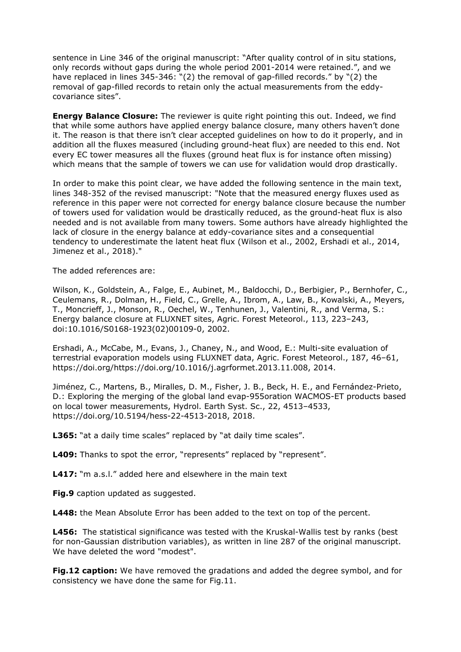sentence in Line 346 of the original manuscript: "After quality control of in situ stations, only records without gaps during the whole period 2001-2014 were retained.", and we have replaced in lines 345-346: "(2) the removal of gap-filled records." by "(2) the removal of gap-filled records to retain only the actual measurements from the eddycovariance sites".

**Energy Balance Closure:** The reviewer is quite right pointing this out. Indeed, we find that while some authors have applied energy balance closure, many others haven't done it. The reason is that there isn't clear accepted guidelines on how to do it properly, and in addition all the fluxes measured (including ground-heat flux) are needed to this end. Not every EC tower measures all the fluxes (ground heat flux is for instance often missing) which means that the sample of towers we can use for validation would drop drastically.

In order to make this point clear, we have added the following sentence in the main text, lines 348-352 of the revised manuscript: "Note that the measured energy fluxes used as reference in this paper were not corrected for energy balance closure because the number of towers used for validation would be drastically reduced, as the ground-heat flux is also needed and is not available from many towers. Some authors have already highlighted the lack of closure in the energy balance at eddy-covariance sites and a consequential tendency to underestimate the latent heat flux (Wilson et al., 2002, Ershadi et al., 2014, Jimenez et al., 2018)."

The added references are:

Wilson, K., Goldstein, A., Falge, E., Aubinet, M., Baldocchi, D., Berbigier, P., Bernhofer, C., Ceulemans, R., Dolman, H., Field, C., Grelle, A., Ibrom, A., Law, B., Kowalski, A., Meyers, T., Moncrieff, J., Monson, R., Oechel, W., Tenhunen, J., Valentini, R., and Verma, S.: Energy balance closure at FLUXNET sites, Agric. Forest Meteorol., 113, 223–243, doi:10.1016/S0168-1923(02)00109-0, 2002.

Ershadi, A., McCabe, M., Evans, J., Chaney, N., and Wood, E.: Multi-site evaluation of terrestrial evaporation models using FLUXNET data, Agric. Forest Meteorol., 187, 46–61, https://doi.org/https://doi.org/10.1016/j.agrformet.2013.11.008, 2014.

Jiménez, C., Martens, B., Miralles, D. M., Fisher, J. B., Beck, H. E., and Fernández-Prieto, D.: Exploring the merging of the global land evap-955oration WACMOS-ET products based on local tower measurements, Hydrol. Earth Syst. Sc., 22, 4513–4533, https://doi.org/10.5194/hess-22-4513-2018, 2018.

L365: "at a daily time scales" replaced by "at daily time scales".

L409: Thanks to spot the error, "represents" replaced by "represent".

**L417:** "m a.s.l." added here and elsewhere in the main text

**Fig.9** caption updated as suggested.

**L448:** the Mean Absolute Error has been added to the text on top of the percent.

**L456:** The statistical significance was tested with the Kruskal-Wallis test by ranks (best for non-Gaussian distribution variables), as written in line 287 of the original manuscript. We have deleted the word "modest".

**Fig.12 caption:** We have removed the gradations and added the degree symbol, and for consistency we have done the same for Fig.11.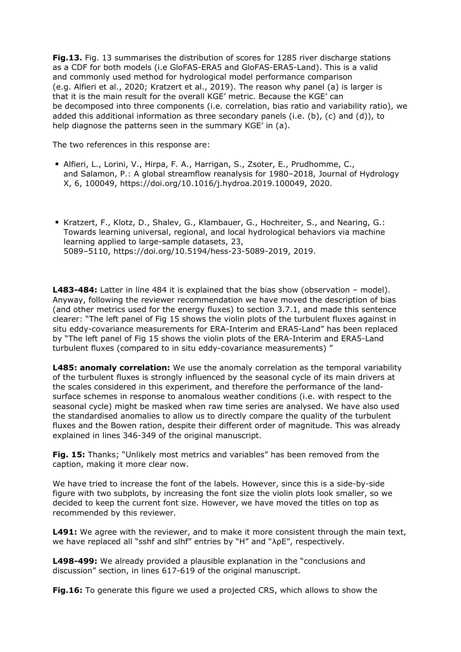**Fig.13.** Fig. 13 summarises the distribution of scores for 1285 river discharge stations as a CDF for both models (i.e GloFAS-ERA5 and GloFAS-ERA5-Land). This is a valid and commonly used method for hydrological model performance comparison (e.g. Alfieri et al., 2020; Kratzert et al., 2019). The reason why panel (a) is larger is that it is the main result for the overall KGE' metric. Because the KGE' can be decomposed into three components (i.e. correlation, bias ratio and variability ratio), we added this additional information as three secondary panels (i.e. (b), (c) and (d)), to help diagnose the patterns seen in the summary KGE' in (a).

The two references in this response are:

- Alfieri, L., Lorini, V., Hirpa, F. A., Harrigan, S., Zsoter, E., Prudhomme, C., and Salamon, P.: A global streamflow reanalysis for 1980–2018, Journal of Hydrology X, 6, 100049, https://doi.org/10.1016/j.hydroa.2019.100049, 2020.
- Kratzert, F., Klotz, D., Shalev, G., Klambauer, G., Hochreiter, S., and Nearing, G.: Towards learning universal, regional, and local hydrological behaviors via machine learning applied to large-sample datasets, 23, 5089–5110, https://doi.org/10.5194/hess-23-5089-2019, 2019.

L483-484: Latter in line 484 it is explained that the bias show (observation - model). Anyway, following the reviewer recommendation we have moved the description of bias (and other metrics used for the energy fluxes) to section 3.7.1, and made this sentence clearer: "The left panel of Fig 15 shows the violin plots of the turbulent fluxes against in situ eddy-covariance measurements for ERA-Interim and ERA5-Land" has been replaced by "The left panel of Fig 15 shows the violin plots of the ERA-Interim and ERA5-Land turbulent fluxes (compared to in situ eddy-covariance measurements) "

**L485: anomaly correlation:** We use the anomaly correlation as the temporal variability of the turbulent fluxes is strongly influenced by the seasonal cycle of its main drivers at the scales considered in this experiment, and therefore the performance of the landsurface schemes in response to anomalous weather conditions (i.e. with respect to the seasonal cycle) might be masked when raw time series are analysed. We have also used the standardised anomalies to allow us to directly compare the quality of the turbulent fluxes and the Bowen ration, despite their different order of magnitude. This was already explained in lines 346-349 of the original manuscript.

**Fig. 15:** Thanks; "Unlikely most metrics and variables" has been removed from the caption, making it more clear now.

We have tried to increase the font of the labels. However, since this is a side-by-side figure with two subplots, by increasing the font size the violin plots look smaller, so we decided to keep the current font size. However, we have moved the titles on top as recommended by this reviewer.

**L491:** We agree with the reviewer, and to make it more consistent through the main text, we have replaced all "sshf and slhf" entries by "H" and "λρE", respectively.

**L498-499:** We already provided a plausible explanation in the "conclusions and discussion" section, in lines 617-619 of the original manuscript.

**Fig.16:** To generate this figure we used a projected CRS, which allows to show the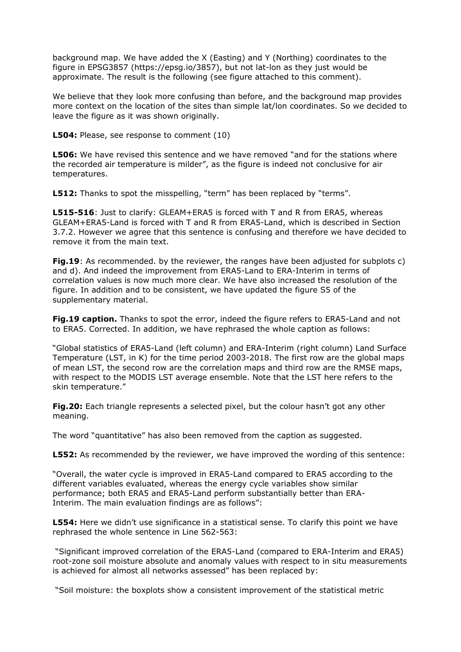background map. We have added the X (Easting) and Y (Northing) coordinates to the figure in EPSG3857 (https://epsg.io/3857), but not lat-lon as they just would be approximate. The result is the following (see figure attached to this comment).

We believe that they look more confusing than before, and the background map provides more context on the location of the sites than simple lat/lon coordinates. So we decided to leave the figure as it was shown originally.

**L504:** Please, see response to comment (10)

**L506:** We have revised this sentence and we have removed "and for the stations where the recorded air temperature is milder", as the figure is indeed not conclusive for air temperatures.

**L512:** Thanks to spot the misspelling, "term" has been replaced by "terms".

**L515-516**: Just to clarify: GLEAM+ERA5 is forced with T and R from ERA5, whereas GLEAM+ERA5-Land is forced with T and R from ERA5-Land, which is described in Section 3.7.2. However we agree that this sentence is confusing and therefore we have decided to remove it from the main text.

**Fig.19**: As recommended. by the reviewer, the ranges have been adjusted for subplots c) and d). And indeed the improvement from ERA5-Land to ERA-Interim in terms of correlation values is now much more clear. We have also increased the resolution of the figure. In addition and to be consistent, we have updated the figure S5 of the supplementary material.

**Fig.19 caption.** Thanks to spot the error, indeed the figure refers to ERA5-Land and not to ERA5. Corrected. In addition, we have rephrased the whole caption as follows:

"Global statistics of ERA5-Land (left column) and ERA-Interim (right column) Land Surface Temperature (LST, in K) for the time period 2003-2018. The first row are the global maps of mean LST, the second row are the correlation maps and third row are the RMSE maps, with respect to the MODIS LST average ensemble. Note that the LST here refers to the skin temperature."

**Fig.20:** Each triangle represents a selected pixel, but the colour hasn't got any other meaning.

The word "quantitative" has also been removed from the caption as suggested.

**L552:** As recommended by the reviewer, we have improved the wording of this sentence:

"Overall, the water cycle is improved in ERA5-Land compared to ERA5 according to the different variables evaluated, whereas the energy cycle variables show similar performance; both ERA5 and ERA5-Land perform substantially better than ERA-Interim. The main evaluation findings are as follows":

**L554:** Here we didn't use significance in a statistical sense. To clarify this point we have rephrased the whole sentence in Line 562-563:

 "Significant improved correlation of the ERA5-Land (compared to ERA-Interim and ERA5) root-zone soil moisture absolute and anomaly values with respect to in situ measurements is achieved for almost all networks assessed" has been replaced by:

"Soil moisture: the boxplots show a consistent improvement of the statistical metric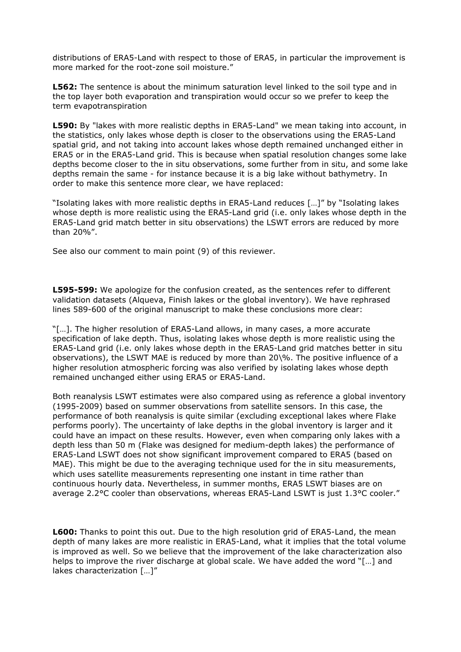distributions of ERA5-Land with respect to those of ERA5, in particular the improvement is more marked for the root-zone soil moisture."

**L562:** The sentence is about the minimum saturation level linked to the soil type and in the top layer both evaporation and transpiration would occur so we prefer to keep the term evapotranspiration

**L590:** By "lakes with more realistic depths in ERA5-Land" we mean taking into account, in the statistics, only lakes whose depth is closer to the observations using the ERA5-Land spatial grid, and not taking into account lakes whose depth remained unchanged either in ERA5 or in the ERA5-Land grid. This is because when spatial resolution changes some lake depths become closer to the in situ observations, some further from in situ, and some lake depths remain the same - for instance because it is a big lake without bathymetry. In order to make this sentence more clear, we have replaced:

"Isolating lakes with more realistic depths in ERA5-Land reduces […]" by "Isolating lakes whose depth is more realistic using the ERA5-Land grid (i.e. only lakes whose depth in the ERA5-Land grid match better in situ observations) the LSWT errors are reduced by more than 20%".

See also our comment to main point (9) of this reviewer.

**L595-599:** We apologize for the confusion created, as the sentences refer to different validation datasets (Alqueva, Finish lakes or the global inventory). We have rephrased lines 589-600 of the original manuscript to make these conclusions more clear:

"[…]. The higher resolution of ERA5-Land allows, in many cases, a more accurate specification of lake depth. Thus, isolating lakes whose depth is more realistic using the ERA5-Land grid (i.e. only lakes whose depth in the ERA5-Land grid matches better in situ observations), the LSWT MAE is reduced by more than 20\%. The positive influence of a higher resolution atmospheric forcing was also verified by isolating lakes whose depth remained unchanged either using ERA5 or ERA5-Land.

Both reanalysis LSWT estimates were also compared using as reference a global inventory (1995-2009) based on summer observations from satellite sensors. In this case, the performance of both reanalysis is quite similar (excluding exceptional lakes where Flake performs poorly). The uncertainty of lake depths in the global inventory is larger and it could have an impact on these results. However, even when comparing only lakes with a depth less than 50 m (Flake was designed for medium-depth lakes) the performance of ERA5-Land LSWT does not show significant improvement compared to ERA5 (based on MAE). This might be due to the averaging technique used for the in situ measurements, which uses satellite measurements representing one instant in time rather than continuous hourly data. Nevertheless, in summer months, ERA5 LSWT biases are on average 2.2°C cooler than observations, whereas ERA5-Land LSWT is just 1.3°C cooler."

**L600:** Thanks to point this out. Due to the high resolution grid of ERA5-Land, the mean depth of many lakes are more realistic in ERA5-Land, what it implies that the total volume is improved as well. So we believe that the improvement of the lake characterization also helps to improve the river discharge at global scale. We have added the word "[…] and lakes characterization […]"